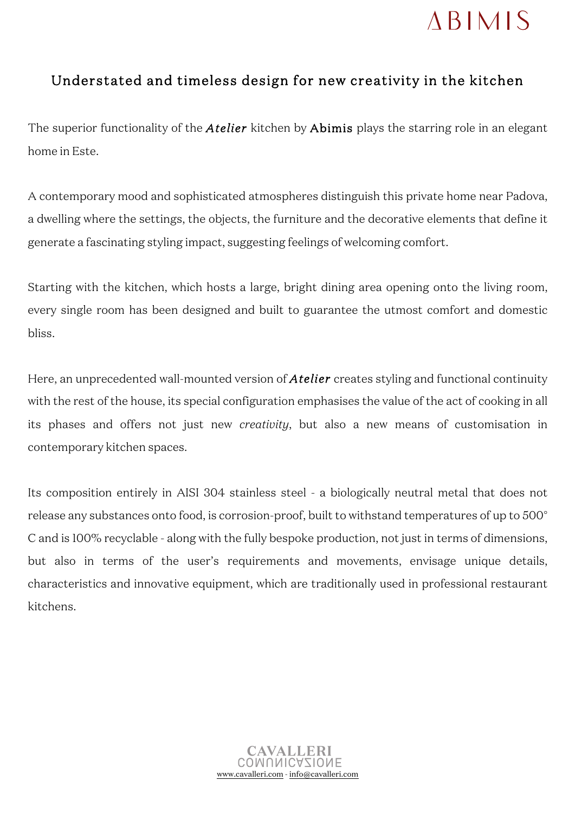## **ABIMIS**

## Understated and timeless design for new creativity in the kitchen

The superior functionality of the *Atelier* kitchen by Abimis plays the starring role in an elegant home in Este.

A contemporary mood and sophisticated atmospheres distinguish this private home near Padova, a dwelling where the settings, the objects, the furniture and the decorative elements that define it generate a fascinating styling impact, suggesting feelings of welcoming comfort.

Starting with the kitchen, which hosts a large, bright dining area opening onto the living room, every single room has been designed and built to guarantee the utmost comfort and domestic bliss.

Here, an unprecedented wall-mounted version of *Atelier* creates styling and functional continuity with the rest of the house, its special configuration emphasises the value of the act of cooking in all its phases and offers not just new *creativity*, but also a new means of customisation in contemporary kitchen spaces.

Its composition entirely in AISI 304 stainless steel - a biologically neutral metal that does not release any substances onto food, is corrosion-proof, built to withstand temperatures of up to 500° C and is 100% recyclable - along with the fully bespoke production, not just in terms of dimensions, but also in terms of the user's requirements and movements, envisage unique details, characteristics and innovative equipment, which are traditionally used in professional restaurant kitchens.